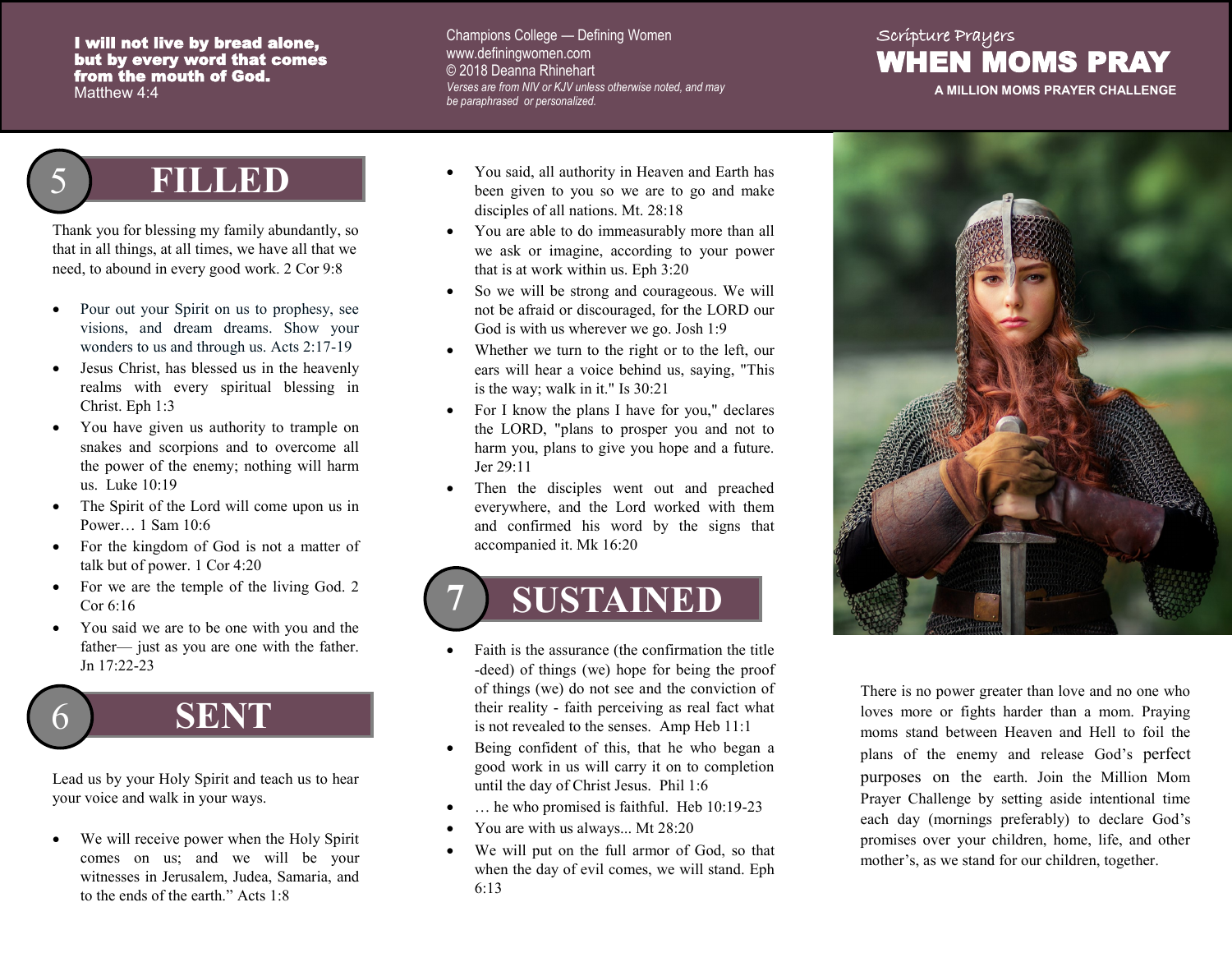#### I will not live by bread alone, but by every word that comes from the mouth of God. Matthew 4:4

#### Champions College — Defining Women www.definingwomen.com © 2018 Deanna Rhinehart *Verses are from NIV or KJV unless otherwise noted, and may be paraphrased or personalized.*

#### Scripture Prayers WHEN MOMS PRAY

**A MILLION MOMS PRAYER CHALLENGE**

### 5 **FILLED**

Thank you for blessing my family abundantly, so that in all things, at all times, we have all that we need, to abound in every good work. 2 Cor 9:8

- Pour out your Spirit on us to prophesy, see visions, and dream dreams. Show your wonders to us and through us. Acts 2:17-19
- Jesus Christ, has blessed us in the heavenly realms with every spiritual blessing in Christ. Eph 1:3
- You have given us authority to trample on snakes and scorpions and to overcome all the power of the enemy; nothing will harm us. Luke 10:19
- The Spirit of the Lord will come upon us in Power… 1 Sam 10:6
- For the kingdom of God is not a matter of talk but of power. 1 Cor 4:20
- For we are the temple of the living God. 2 Cor 6:16
- You said we are to be one with you and the father— just as you are one with the father. Jn 17:22-23



Lead us by your Holy Spirit and teach us to hear your voice and walk in your ways.

We will receive power when the Holy Spirit comes on us; and we will be your witnesses in Jerusalem, Judea, Samaria, and to the ends of the earth." Acts 1:8

- You said, all authority in Heaven and Earth has been given to you so we are to go and make disciples of all nations. Mt. 28:18
- You are able to do immeasurably more than all we ask or imagine, according to your power that is at work within us. Eph 3:20
- So we will be strong and courageous. We will not be afraid or discouraged, for the LORD our God is with us wherever we go. Josh 1:9
- Whether we turn to the right or to the left, our ears will hear a voice behind us, saying, "This is the way; walk in it." Is 30:21
- For I know the plans I have for you," declares the LORD, "plans to prosper you and not to harm you, plans to give you hope and a future. Jer 29:11
- Then the disciples went out and preached everywhere, and the Lord worked with them and confirmed his word by the signs that accompanied it. Mk 16:20

# **7 SUSTAINED**

- Faith is the assurance (the confirmation the title -deed) of things (we) hope for being the proof of things (we) do not see and the conviction of their reality - faith perceiving as real fact what is not revealed to the senses. Amp Heb 11:1
- Being confident of this, that he who began a good work in us will carry it on to completion until the day of Christ Jesus. Phil 1:6
- ... he who promised is faithful. Heb 10:19-23
- You are with us always... Mt 28:20
- We will put on the full armor of God, so that when the day of evil comes, we will stand. Eph 6:13



There is no power greater than love and no one who loves more or fights harder than a mom. Praying moms stand between Heaven and Hell to foil the plans of the enemy and release God's perfect purposes on the earth. Join the Million Mom Prayer Challenge by setting aside intentional time each day (mornings preferably) to declare God's promises over your children, home, life, and other mother's, as we stand for our children, together.